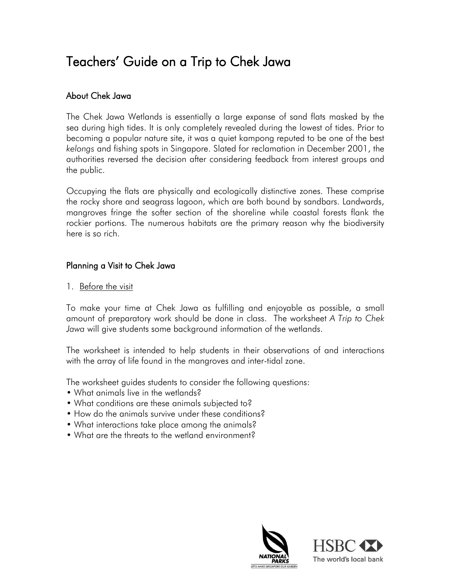# Teachers' Guide on a Trip to Chek Jawa

# About Chek Jawa

The Chek Jawa Wetlands is essentially a large expanse of sand flats masked by the sea during high tides. It is only completely revealed during the lowest of tides. Prior to becoming a popular nature site, it was a quiet kampong reputed to be one of the best *kelongs* and fishing spots in Singapore. Slated for reclamation in December 2001, the authorities reversed the decision after considering feedback from interest groups and the public.

Occupying the flats are physically and ecologically distinctive zones. These comprise the rocky shore and seagrass lagoon, which are both bound by sandbars. Landwards, mangroves fringe the softer section of the shoreline while coastal forests flank the rockier portions. The numerous habitats are the primary reason why the biodiversity here is so rich.

# Planning a Visit to Chek Jawa

1. Before the visit

To make your time at Chek Jawa as fulfilling and enjoyable as possible, a small amount of preparatory work should be done in class. The worksheet *A Trip to Chek Jawa* will give students some background information of the wetlands.

The worksheet is intended to help students in their observations of and interactions with the array of life found in the mangroves and inter-tidal zone.

The worksheet guides students to consider the following questions:

- What animals live in the wetlands?
- What conditions are these animals subjected to?
- How do the animals survive under these conditions?
- What interactions take place among the animals?
- What are the threats to the wetland environment?



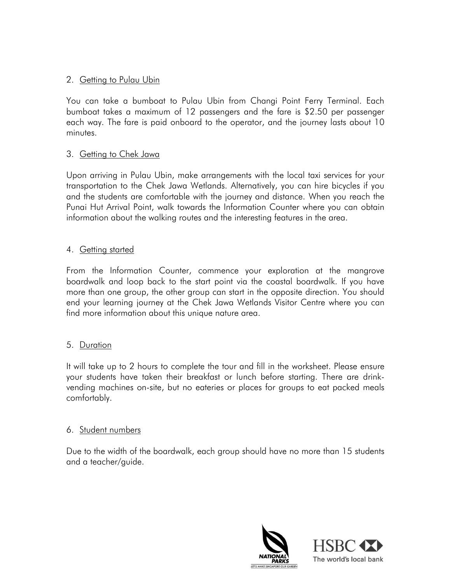## 2. Getting to Pulau Ubin

You can take a bumboat to Pulau Ubin from Changi Point Ferry Terminal. Each bumboat takes a maximum of 12 passengers and the fare is \$2.50 per passenger each way. The fare is paid onboard to the operator, and the journey lasts about 10 minutes.

#### 3. Getting to Chek Jawa

Upon arriving in Pulau Ubin, make arrangements with the local taxi services for your transportation to the Chek Jawa Wetlands. Alternatively, you can hire bicycles if you and the students are comfortable with the journey and distance. When you reach the Punai Hut Arrival Point, walk towards the Information Counter where you can obtain information about the walking routes and the interesting features in the area.

#### 4. Getting started

From the Information Counter, commence your exploration at the mangrove boardwalk and loop back to the start point via the coastal boardwalk. If you have more than one group, the other group can start in the opposite direction. You should end your learning journey at the Chek Jawa Wetlands Visitor Centre where you can find more information about this unique nature area.

# 5. Duration

It will take up to 2 hours to complete the tour and fill in the worksheet. Please ensure your students have taken their breakfast or lunch before starting. There are drinkvending machines on-site, but no eateries or places for groups to eat packed meals comfortably.

#### 6. Student numbers

Due to the width of the boardwalk, each group should have no more than 15 students and a teacher/guide.